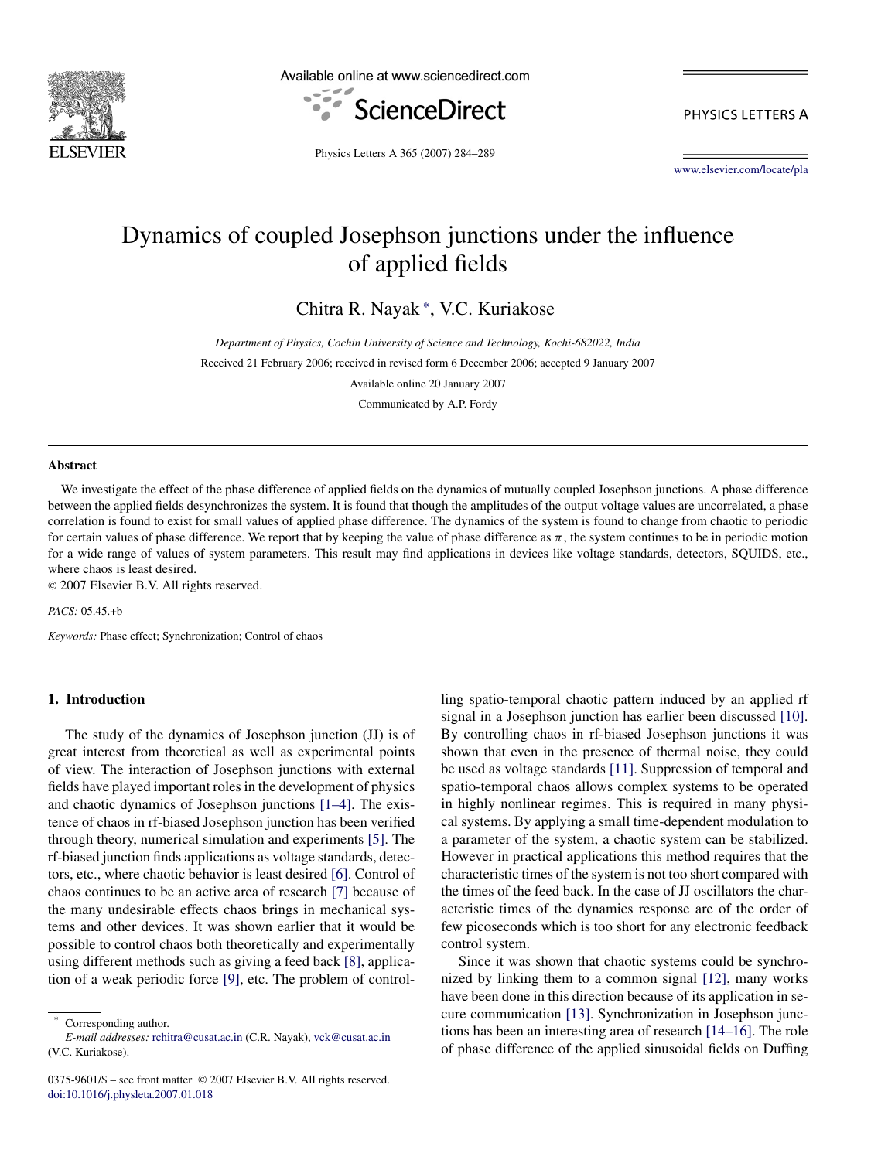

Available online at www.sciencedirect.com



PHYSICS LETTERS A

Physics Letters A 365 (2007) 284–289

[www.elsevier.com/locate/pla](http://www.elsevier.com/locate/pla)

# Dynamics of coupled Josephson junctions under the influence of applied fields

Chitra R. Nayak <sup>∗</sup> , V.C. Kuriakose

*Department of Physics, Cochin University of Science and Technology, Kochi-682022, India* Received 21 February 2006; received in revised form 6 December 2006; accepted 9 January 2007

Available online 20 January 2007

Communicated by A.P. Fordy

#### **Abstract**

We investigate the effect of the phase difference of applied fields on the dynamics of mutually coupled Josephson junctions. A phase difference between the applied fields desynchronizes the system. It is found that though the amplitudes of the output voltage values are uncorrelated, a phase correlation is found to exist for small values of applied phase difference. The dynamics of the system is found to change from chaotic to periodic for certain values of phase difference. We report that by keeping the value of phase difference as  $\pi$ , the system continues to be in periodic motion for a wide range of values of system parameters. This result may find applications in devices like voltage standards, detectors, SQUIDS, etc., where chaos is least desired.

© 2007 Elsevier B.V. All rights reserved.

*PACS:* 05.45.+b

*Keywords:* Phase effect; Synchronization; Control of chaos

## **1. Introduction**

The study of the dynamics of Josephson junction (JJ) is of great interest from theoretical as well as experimental points of view. The interaction of Josephson junctions with external fields have played important roles in the development of physics and chaotic dynamics of Josephson junctions [\[1–4\].](#page-5-0) The existence of chaos in rf-biased Josephson junction has been verified through theory, numerical simulation and experiments [\[5\].](#page-5-0) The rf-biased junction finds applications as voltage standards, detectors, etc., where chaotic behavior is least desired [\[6\].](#page-5-0) Control of chaos continues to be an active area of research [\[7\]](#page-5-0) because of the many undesirable effects chaos brings in mechanical systems and other devices. It was shown earlier that it would be possible to control chaos both theoretically and experimentally using different methods such as giving a feed back [\[8\],](#page-5-0) application of a weak periodic force [\[9\],](#page-5-0) etc. The problem of control-

Corresponding author.

ling spatio-temporal chaotic pattern induced by an applied rf signal in a Josephson junction has earlier been discussed [\[10\].](#page-5-0) By controlling chaos in rf-biased Josephson junctions it was shown that even in the presence of thermal noise, they could be used as voltage standards [\[11\].](#page-5-0) Suppression of temporal and spatio-temporal chaos allows complex systems to be operated in highly nonlinear regimes. This is required in many physical systems. By applying a small time-dependent modulation to a parameter of the system, a chaotic system can be stabilized. However in practical applications this method requires that the characteristic times of the system is not too short compared with the times of the feed back. In the case of JJ oscillators the characteristic times of the dynamics response are of the order of few picoseconds which is too short for any electronic feedback control system.

Since it was shown that chaotic systems could be synchronized by linking them to a common signal [\[12\],](#page-5-0) many works have been done in this direction because of its application in secure communication [\[13\].](#page-5-0) Synchronization in Josephson junctions has been an interesting area of research [\[14–16\].](#page-5-0) The role of phase difference of the applied sinusoidal fields on Duffing

*E-mail addresses:* [rchitra@cusat.ac.in](mailto:rchitra@cusat.ac.in) (C.R. Nayak), [vck@cusat.ac.in](mailto:vck@cusat.ac.in) (V.C. Kuriakose).

<sup>0375-9601/\$ –</sup> see front matter © 2007 Elsevier B.V. All rights reserved. [doi:10.1016/j.physleta.2007.01.018](http://dx.doi.org/10.1016/j.physleta.2007.01.018)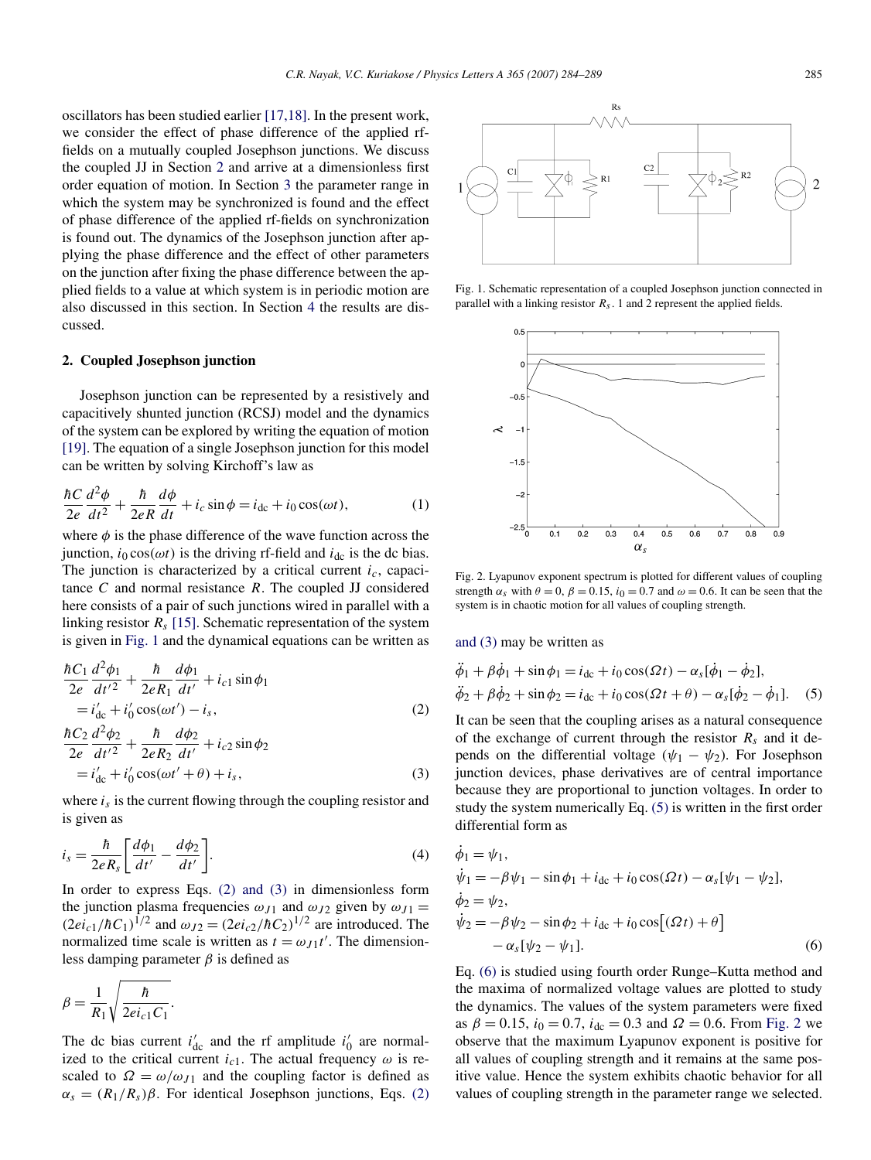<span id="page-1-0"></span>oscillators has been studied earlier [\[17,18\].](#page-5-0) In the present work, we consider the effect of phase difference of the applied rffields on a mutually coupled Josephson junctions. We discuss the coupled JJ in Section 2 and arrive at a dimensionless first order equation of motion. In Section [3](#page-2-0) the parameter range in which the system may be synchronized is found and the effect of phase difference of the applied rf-fields on synchronization is found out. The dynamics of the Josephson junction after applying the phase difference and the effect of other parameters on the junction after fixing the phase difference between the applied fields to a value at which system is in periodic motion are also discussed in this section. In Section [4](#page-4-0) the results are discussed.

### **2. Coupled Josephson junction**

Josephson junction can be represented by a resistively and capacitively shunted junction (RCSJ) model and the dynamics of the system can be explored by writing the equation of motion [\[19\].](#page-5-0) The equation of a single Josephson junction for this model can be written by solving Kirchoff's law as

$$
\frac{\hbar C}{2e} \frac{d^2 \phi}{dt^2} + \frac{\hbar}{2eR} \frac{d\phi}{dt} + i_c \sin \phi = i_{dc} + i_0 \cos(\omega t),\tag{1}
$$

where  $\phi$  is the phase difference of the wave function across the junction,  $i_0 \cos(\omega t)$  is the driving rf-field and  $i_{\text{dc}}$  is the dc bias. The junction is characterized by a critical current *ic*, capacitance *C* and normal resistance *R*. The coupled JJ considered here consists of a pair of such junctions wired in parallel with a linking resistor  $R_s$  [\[15\].](#page-5-0) Schematic representation of the system is given in Fig. 1 and the dynamical equations can be written as

$$
\frac{\hbar C_1}{2e} \frac{d^2 \phi_1}{dt'^2} + \frac{\hbar}{2e R_1} \frac{d \phi_1}{dt'} + i_{c1} \sin \phi_1
$$
  
=  $i'_{dc} + i'_0 \cos(\omega t') - i_s$ ,  

$$
\frac{\hbar C_2}{2e} \frac{d^2 \phi_2}{dt'^2} + \frac{\hbar}{2e R_2} \frac{d \phi_2}{dt'} + i_{c2} \sin \phi_2
$$
 (2)

$$
= i'_{dc} + i'_0 \cos(\omega t' + \theta) + i_s,
$$
\n(3)

where  $i_s$  is the current flowing through the coupling resistor and is given as

$$
i_s = \frac{\hbar}{2eR_s} \left[ \frac{d\phi_1}{dt'} - \frac{d\phi_2}{dt'} \right].
$$
 (4)

In order to express Eqs. (2) and (3) in dimensionless form the junction plasma frequencies  $\omega_{J1}$  and  $\omega_{J2}$  given by  $\omega_{J1}$  =  $(2ei_{c1}/\hbar C_1)^{1/2}$  and  $\omega_{J2} = (2ei_{c2}/\hbar C_2)^{1/2}$  are introduced. The normalized time scale is written as  $t = \omega_{J1}t'$ . The dimensionless damping parameter *β* is defined as

$$
\beta = \frac{1}{R_1} \sqrt{\frac{\hbar}{2ei_{c1}C_1}}.
$$

The dc bias current  $i'_{dc}$  and the rf amplitude  $i'_{0}$  are normalized to the critical current  $i_{c1}$ . The actual frequency  $\omega$  is rescaled to  $\Omega = \omega/\omega_{J1}$  and the coupling factor is defined as  $\alpha_s = (R_1/R_s)\beta$ . For identical Josephson junctions, Eqs. (2)

Fig. 2. Lyapunov exponent spectrum is plotted for different values of coupling strength  $\alpha_s$  with  $\theta = 0$ ,  $\beta = 0.15$ ,  $i_0 = 0.7$  and  $\omega = 0.6$ . It can be seen that the system is in chaotic motion for all values of coupling strength.

 $\alpha_{\rm c}$ 

and (3) may be written as

 $-1.5$ 

 $-2$ 

 $-2.5\frac{1}{0}$ 

 $\overline{0.1}$  $\overline{0.2}$  $\overline{0.3}$  $\overline{0.4}$  $0.5$  $0.6$  $\overline{0.7}$  $\overline{0.8}$  $\overline{0.9}$ 

$$
\phi_1 + \beta \phi_1 + \sin \phi_1 = i_{dc} + i_0 \cos(\Omega t) - \alpha_s [\phi_1 - \phi_2],
$$
  

$$
\ddot{\phi}_2 + \beta \dot{\phi}_2 + \sin \phi_2 = i_{dc} + i_0 \cos(\Omega t + \theta) - \alpha_s [\dot{\phi}_2 - \dot{\phi}_1].
$$
 (5)

It can be seen that the coupling arises as a natural consequence of the exchange of current through the resistor  $R_s$  and it depends on the differential voltage ( $\psi_1 - \psi_2$ ). For Josephson junction devices, phase derivatives are of central importance because they are proportional to junction voltages. In order to study the system numerically Eq. (5) is written in the first order differential form as

$$
\dot{\phi}_1 = \psi_1,\n\dot{\psi}_1 = -\beta \psi_1 - \sin \phi_1 + i_{dc} + i_0 \cos(\Omega t) - \alpha_s [\psi_1 - \psi_2],\n\dot{\phi}_2 = \psi_2,\n\dot{\psi}_2 = -\beta \psi_2 - \sin \phi_2 + i_{dc} + i_0 \cos[(\Omega t) + \theta] \n- \alpha_s [\psi_2 - \psi_1].
$$
\n(6)

Eq. (6) is studied using fourth order Runge–Kutta method and the maxima of normalized voltage values are plotted to study the dynamics. The values of the system parameters were fixed as  $\beta = 0.15$ ,  $i_0 = 0.7$ ,  $i_{dc} = 0.3$  and  $\Omega = 0.6$ . From Fig. 2 we observe that the maximum Lyapunov exponent is positive for all values of coupling strength and it remains at the same positive value. Hence the system exhibits chaotic behavior for all values of coupling strength in the parameter range we selected.



Fig. 1. Schematic representation of a coupled Josephson junction connected in

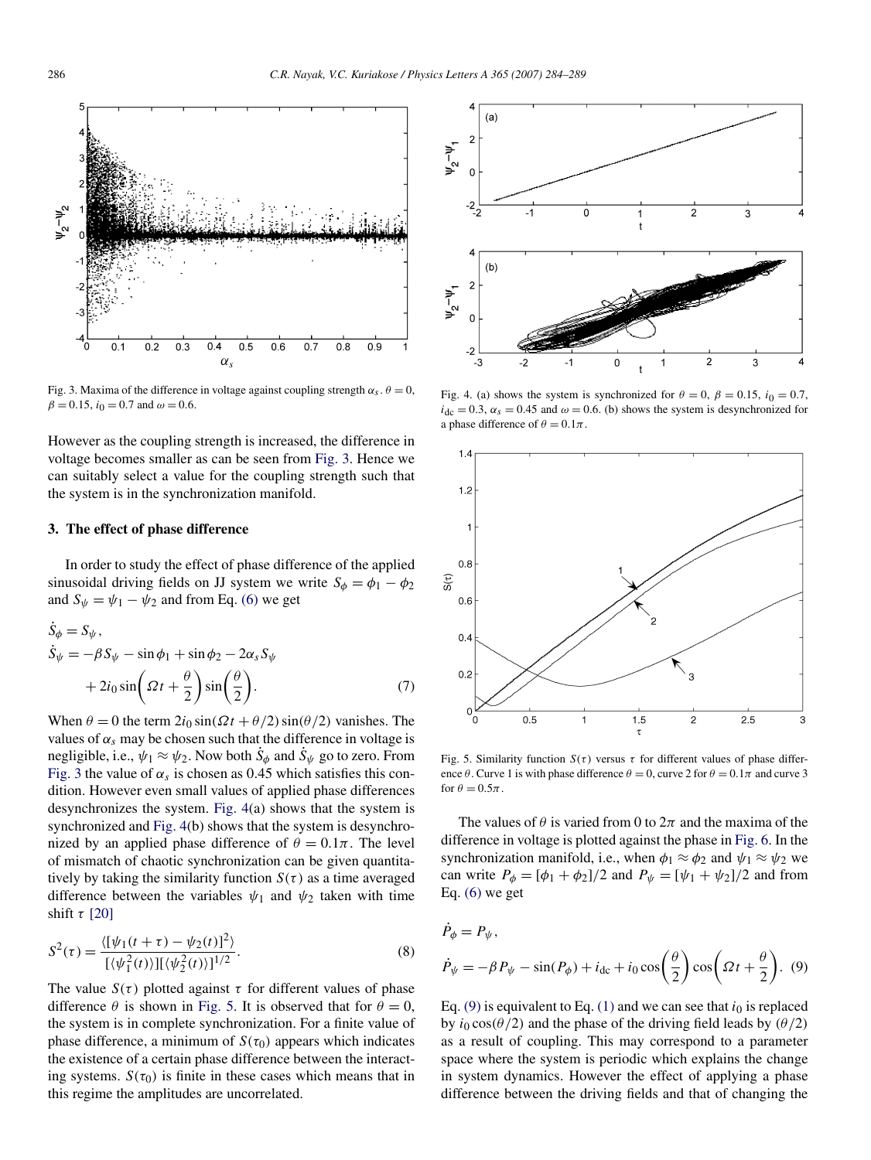<span id="page-2-0"></span>

Fig. 3. Maxima of the difference in voltage against coupling strength  $\alpha_s$ ,  $\theta = 0$ ,  $\beta = 0.15$ ,  $i_0 = 0.7$  and  $\omega = 0.6$ .

However as the coupling strength is increased, the difference in voltage becomes smaller as can be seen from Fig. 3. Hence we can suitably select a value for the coupling strength such that the system is in the synchronization manifold.

## **3. The effect of phase difference**

In order to study the effect of phase difference of the applied sinusoidal driving fields on JJ system we write  $S_{\phi} = \phi_1 - \phi_2$ and  $S_{\psi} = \psi_1 - \psi_2$  and from Eq. [\(6\)](#page-1-0) we get

$$
\dot{S}_{\phi} = S_{\psi}, \n\dot{S}_{\psi} = -\beta S_{\psi} - \sin \phi_1 + \sin \phi_2 - 2\alpha_s S_{\psi} \n+ 2i_0 \sin \left( \Omega t + \frac{\theta}{2} \right) \sin \left( \frac{\theta}{2} \right).
$$
\n(7)

When  $\theta = 0$  the term  $2i_0 \sin(\Omega t + \theta/2) \sin(\theta/2)$  vanishes. The values of  $\alpha_s$  may be chosen such that the difference in voltage is negligible, i.e.,  $\psi_1 \approx \psi_2$ . Now both  $S_{\phi}$  and  $S_{\psi}$  go to zero. From Fig. 3 the value of  $\alpha_s$  is chosen as 0.45 which satisfies this condition. However even small values of applied phase differences desynchronizes the system. Fig. 4(a) shows that the system is synchronized and Fig. 4(b) shows that the system is desynchronized by an applied phase difference of  $\theta = 0.1\pi$ . The level of mismatch of chaotic synchronization can be given quantitatively by taking the similarity function  $S(\tau)$  as a time averaged difference between the variables  $\psi_1$  and  $\psi_2$  taken with time shift *τ* [\[20\]](#page-5-0)

$$
S^{2}(\tau) = \frac{\langle [\psi_{1}(t+\tau) - \psi_{2}(t)]^{2} \rangle}{[(\psi_{1}^{2}(t))][(\psi_{2}^{2}(t))]^{1/2}}.
$$
\n(8)

The value  $S(\tau)$  plotted against  $\tau$  for different values of phase difference  $\theta$  is shown in Fig. 5. It is observed that for  $\theta = 0$ , the system is in complete synchronization. For a finite value of phase difference, a minimum of  $S(\tau_0)$  appears which indicates the existence of a certain phase difference between the interacting systems.  $S(\tau_0)$  is finite in these cases which means that in this regime the amplitudes are uncorrelated.



Fig. 4. (a) shows the system is synchronized for  $\theta = 0$ ,  $\beta = 0.15$ ,  $i_0 = 0.7$ ,  $i<sub>dc</sub> = 0.3$ ,  $\alpha_s = 0.45$  and  $\omega = 0.6$ . (b) shows the system is desynchronized for a phase difference of  $\theta = 0.1\pi$ .



Fig. 5. Similarity function  $S(\tau)$  versus  $\tau$  for different values of phase difference  $\theta$ . Curve 1 is with phase difference  $\theta = 0$ , curve 2 for  $\theta = 0.1\pi$  and curve 3 for  $\theta = 0.5\pi$ .

The values of  $\theta$  is varied from 0 to  $2\pi$  and the maxima of the difference in voltage is plotted against the phase in [Fig. 6.](#page-3-0) In the synchronization manifold, i.e., when  $\phi_1 \approx \phi_2$  and  $\psi_1 \approx \psi_2$  we can write  $P_{\phi} = [\phi_1 + \phi_2]/2$  and  $P_{\psi} = [\psi_1 + \psi_2]/2$  and from Eq.  $(6)$  we get

$$
P_{\phi} = P_{\psi},
$$
  

$$
\dot{P}_{\psi} = -\beta P_{\psi} - \sin(P_{\phi}) + i_{dc} + i_0 \cos\left(\frac{\theta}{2}\right) \cos\left(\Omega t + \frac{\theta}{2}\right). \tag{9}
$$

Eq. (9) is equivalent to Eq. [\(1\)](#page-1-0) and we can see that  $i_0$  is replaced by *i*<sup>0</sup> cos*(θ/*2*)* and the phase of the driving field leads by *(θ/*2*)* as a result of coupling. This may correspond to a parameter space where the system is periodic which explains the change in system dynamics. However the effect of applying a phase difference between the driving fields and that of changing the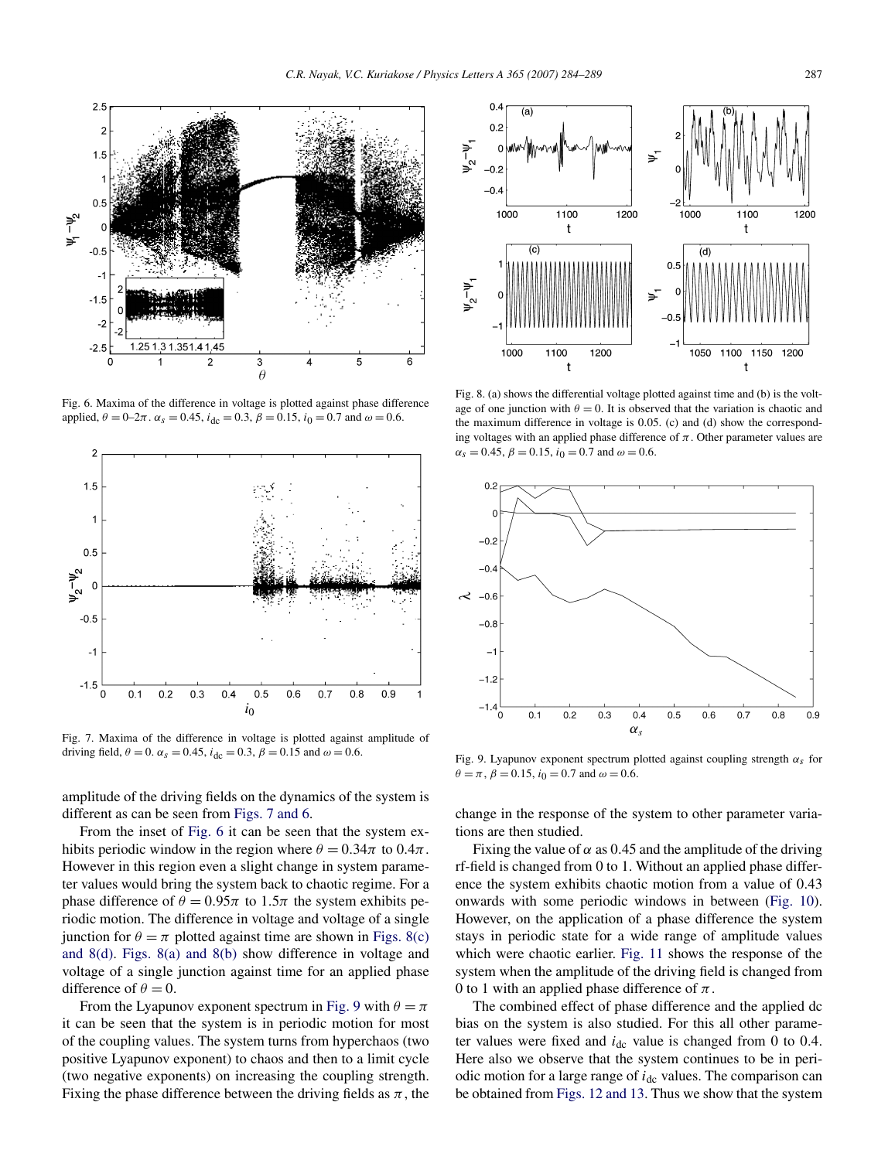<span id="page-3-0"></span>

Fig. 6. Maxima of the difference in voltage is plotted against phase difference applied,  $\theta = 0-2\pi$ .  $\alpha_s = 0.45$ ,  $i_{\text{dc}} = 0.3$ ,  $\beta = 0.15$ ,  $i_0 = 0.7$  and  $\omega = 0.6$ .



Fig. 7. Maxima of the difference in voltage is plotted against amplitude of driving field,  $\theta = 0$ .  $\alpha_s = 0.45$ ,  $i_{dc} = 0.3$ ,  $\beta = 0.15$  and  $\omega = 0.6$ .

amplitude of the driving fields on the dynamics of the system is different as can be seen from Figs. 7 and 6.

From the inset of Fig. 6 it can be seen that the system exhibits periodic window in the region where  $\theta = 0.34\pi$  to  $0.4\pi$ . However in this region even a slight change in system parameter values would bring the system back to chaotic regime. For a phase difference of  $\theta = 0.95\pi$  to  $1.5\pi$  the system exhibits periodic motion. The difference in voltage and voltage of a single junction for  $\theta = \pi$  plotted against time are shown in Figs. 8(c) and 8(d). Figs. 8(a) and 8(b) show difference in voltage and voltage of a single junction against time for an applied phase difference of  $\theta = 0$ .

From the Lyapunov exponent spectrum in Fig. 9 with  $\theta = \pi$ it can be seen that the system is in periodic motion for most of the coupling values. The system turns from hyperchaos (two positive Lyapunov exponent) to chaos and then to a limit cycle (two negative exponents) on increasing the coupling strength. Fixing the phase difference between the driving fields as  $\pi$ , the



Fig. 8. (a) shows the differential voltage plotted against time and (b) is the voltage of one junction with  $\theta = 0$ . It is observed that the variation is chaotic and the maximum difference in voltage is 0*.*05. (c) and (d) show the corresponding voltages with an applied phase difference of  $\pi$ . Other parameter values are  $\alpha_s = 0.45$ ,  $\beta = 0.15$ ,  $i_0 = 0.7$  and  $\omega = 0.6$ .



Fig. 9. Lyapunov exponent spectrum plotted against coupling strength *αs* for  $\theta = \pi$ ,  $\beta = 0.15$ ,  $i_0 = 0.7$  and  $\omega = 0.6$ .

change in the response of the system to other parameter variations are then studied.

Fixing the value of  $\alpha$  as 0.45 and the amplitude of the driving rf-field is changed from 0 to 1. Without an applied phase difference the system exhibits chaotic motion from a value of 0*.*43 onwards with some periodic windows in between [\(Fig. 10\)](#page-4-0). However, on the application of a phase difference the system stays in periodic state for a wide range of amplitude values which were chaotic earlier. [Fig. 11](#page-4-0) shows the response of the system when the amplitude of the driving field is changed from 0 to 1 with an applied phase difference of *π*.

The combined effect of phase difference and the applied dc bias on the system is also studied. For this all other parameter values were fixed and  $i_{dc}$  value is changed from 0 to 0.4. Here also we observe that the system continues to be in periodic motion for a large range of *i*<sub>dc</sub> values. The comparison can be obtained from [Figs. 12 and 13.](#page-4-0) Thus we show that the system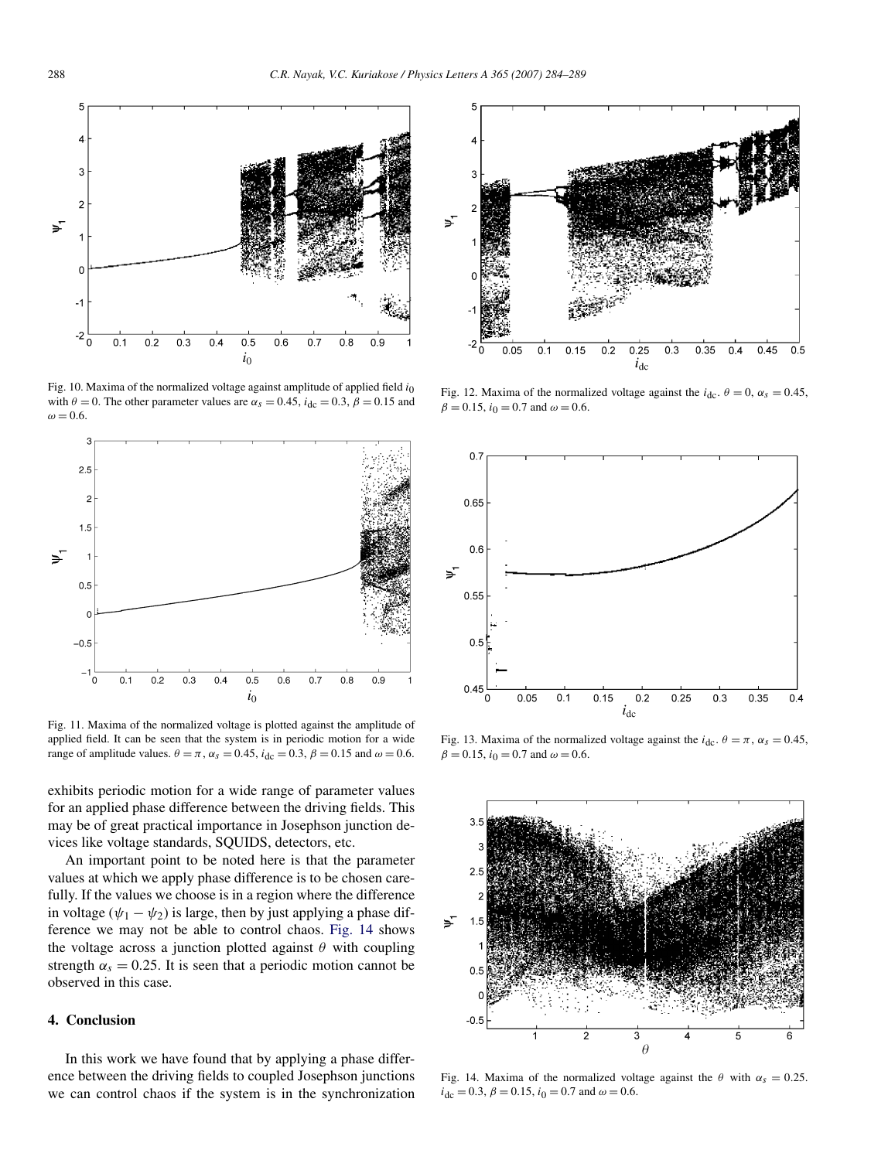<span id="page-4-0"></span>

Fig. 10. Maxima of the normalized voltage against amplitude of applied field  $i_0$ with  $\theta = 0$ . The other parameter values are  $\alpha_s = 0.45$ ,  $i_{\text{dc}} = 0.3$ ,  $\beta = 0.15$  and  $\omega = 0.6$ .



Fig. 11. Maxima of the normalized voltage is plotted against the amplitude of applied field. It can be seen that the system is in periodic motion for a wide range of amplitude values.  $\theta = \pi$ ,  $\alpha_s = 0.45$ ,  $i_{dc} = 0.3$ ,  $\beta = 0.15$  and  $\omega = 0.6$ .

exhibits periodic motion for a wide range of parameter values for an applied phase difference between the driving fields. This may be of great practical importance in Josephson junction devices like voltage standards, SQUIDS, detectors, etc.

An important point to be noted here is that the parameter values at which we apply phase difference is to be chosen carefully. If the values we choose is in a region where the difference in voltage ( $\psi_1 - \psi_2$ ) is large, then by just applying a phase difference we may not be able to control chaos. Fig. 14 shows the voltage across a junction plotted against *θ* with coupling strength  $\alpha_s = 0.25$ . It is seen that a periodic motion cannot be observed in this case.

# **4. Conclusion**

In this work we have found that by applying a phase difference between the driving fields to coupled Josephson junctions we can control chaos if the system is in the synchronization



Fig. 12. Maxima of the normalized voltage against the  $i_{\text{dc}}$ .  $\theta = 0$ ,  $\alpha_s = 0.45$ ,  $\beta = 0.15$ ,  $i_0 = 0.7$  and  $\omega = 0.6$ .



Fig. 13. Maxima of the normalized voltage against the  $i_{\text{dc}}$ .  $\theta = \pi$ ,  $\alpha_s = 0.45$ ,  $\beta = 0.15$ ,  $i_0 = 0.7$  and  $\omega = 0.6$ .



Fig. 14. Maxima of the normalized voltage against the  $\theta$  with  $\alpha_s = 0.25$ .  $i_{\text{dc}} = 0.3$ ,  $\beta = 0.15$ ,  $i_0 = 0.7$  and  $\omega = 0.6$ .